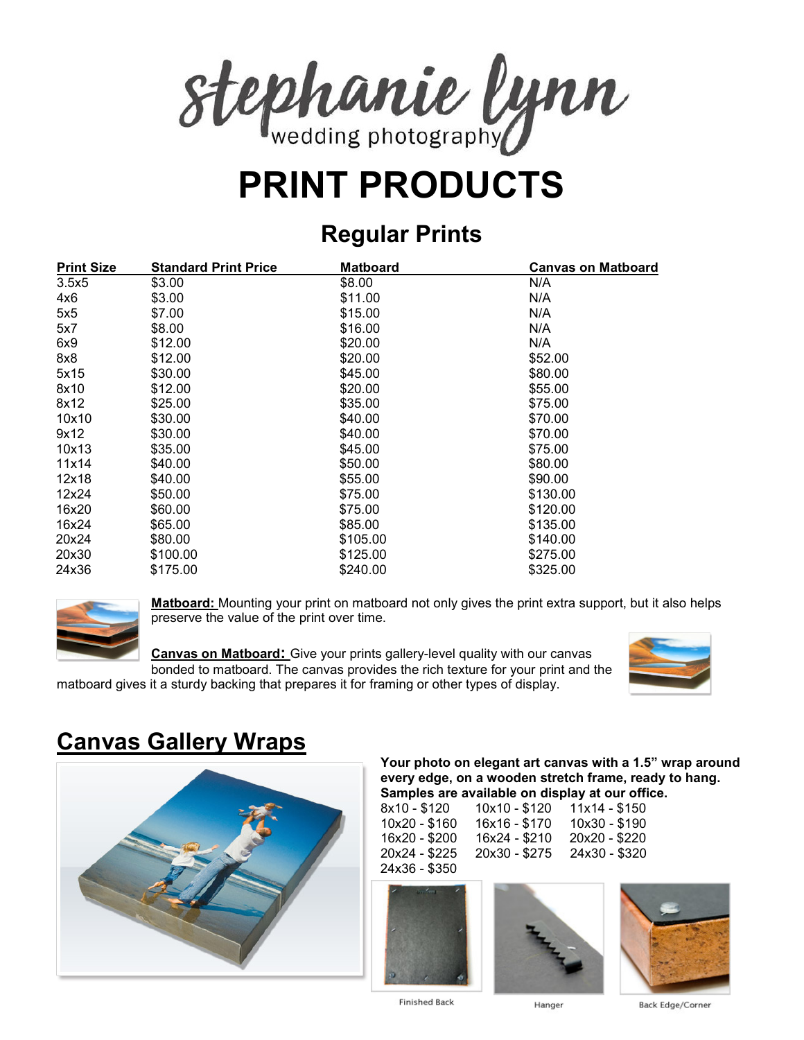

# **PRINT PRODUCTS**

## **Regular Prints**

| <b>Print Size</b> | <b>Standard Print Price</b> | <b>Matboard</b> | <b>Canvas on Matboard</b> |
|-------------------|-----------------------------|-----------------|---------------------------|
| 3.5x5             | \$3.00                      | \$8.00          | N/A                       |
| 4x6               | \$3.00                      | \$11.00         | N/A                       |
| 5x5               | \$7.00                      | \$15.00         | N/A                       |
| 5x7               | \$8.00                      | \$16.00         | N/A                       |
| 6x9               | \$12.00                     | \$20.00         | N/A                       |
| 8x8               | \$12.00                     | \$20.00         | \$52.00                   |
| 5x15              | \$30.00                     | \$45.00         | \$80.00                   |
| 8x10              | \$12.00                     | \$20.00         | \$55.00                   |
| 8x12              | \$25.00                     | \$35.00         | \$75.00                   |
| 10x10             | \$30.00                     | \$40.00         | \$70.00                   |
| 9x12              | \$30.00                     | \$40.00         | \$70.00                   |
| 10x13             | \$35.00                     | \$45.00         | \$75.00                   |
| 11x14             | \$40.00                     | \$50.00         | \$80.00                   |
| 12x18             | \$40.00                     | \$55.00         | \$90.00                   |
| 12x24             | \$50.00                     | \$75.00         | \$130.00                  |
| 16x20             | \$60.00                     | \$75.00         | \$120.00                  |
| 16x24             | \$65.00                     | \$85.00         | \$135.00                  |
| 20x24             | \$80.00                     | \$105.00        | \$140.00                  |
| 20x30             | \$100.00                    | \$125.00        | \$275.00                  |
| 24x36             | \$175.00                    | \$240.00        | \$325.00                  |



**Matboard:** Mounting your print on matboard not only gives the print extra support, but it also helps preserve the value of the print over time.

**Canvas on Matboard:** Give your prints gallery-level quality with our canvas bonded to matboard. The canvas provides the rich texture for your print and the matboard gives it a sturdy backing that prepares it for framing or other types of display.



# **Canvas Gallery Wraps**



#### **Your photo on elegant art canvas with a 1.5" wrap around every edge, on a wooden stretch frame, ready to hang. Samples are available on display at our office.**

| 8x10 - \$120  | 10x10 - \$120 | $11x14 - $150$ |
|---------------|---------------|----------------|
| 10x20 - \$160 | 16x16 - \$170 | 10x30 - \$190  |
| 16x20 - \$200 | 16x24 - \$210 | 20x20 - \$220  |
| 20x24 - \$225 | 20x30 - \$275 | 24x30 - \$320  |
| 24x36 - \$350 |               |                |







**Finished Back** 

Hanger

Back Edge/Corner